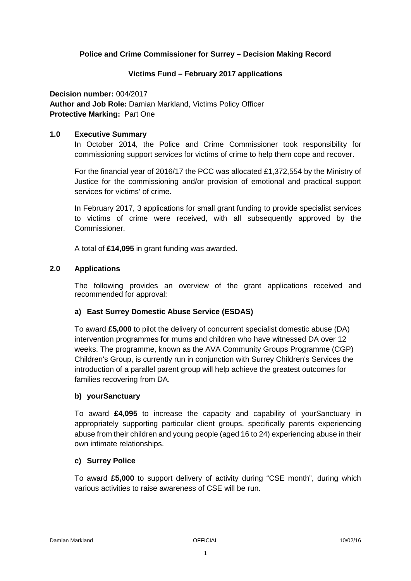## **Police and Crime Commissioner for Surrey – Decision Making Record**

#### **Victims Fund – February 2017 applications**

**Decision number:** 004/2017 **Author and Job Role:** Damian Markland, Victims Policy Officer **Protective Marking:** Part One

#### **1.0 Executive Summary**

In October 2014, the Police and Crime Commissioner took responsibility for commissioning support services for victims of crime to help them cope and recover.

For the financial year of 2016/17 the PCC was allocated £1,372,554 by the Ministry of Justice for the commissioning and/or provision of emotional and practical support services for victims' of crime.

In February 2017, 3 applications for small grant funding to provide specialist services to victims of crime were received, with all subsequently approved by the Commissioner.

A total of **£14,095** in grant funding was awarded.

#### **2.0 Applications**

The following provides an overview of the grant applications received and recommended for approval:

#### **a) East Surrey Domestic Abuse Service (ESDAS)**

To award **£5,000** to pilot the delivery of concurrent specialist domestic abuse (DA) intervention programmes for mums and children who have witnessed DA over 12 weeks. The programme, known as the AVA Community Groups Programme (CGP) Children's Group, is currently run in conjunction with Surrey Children's Services the introduction of a parallel parent group will help achieve the greatest outcomes for families recovering from DA.

#### **b) yourSanctuary**

To award **£4,095** to increase the capacity and capability of yourSanctuary in appropriately supporting particular client groups, specifically parents experiencing abuse from their children and young people (aged 16 to 24) experiencing abuse in their own intimate relationships.

#### **c) Surrey Police**

To award **£5,000** to support delivery of activity during "CSE month", during which various activities to raise awareness of CSE will be run.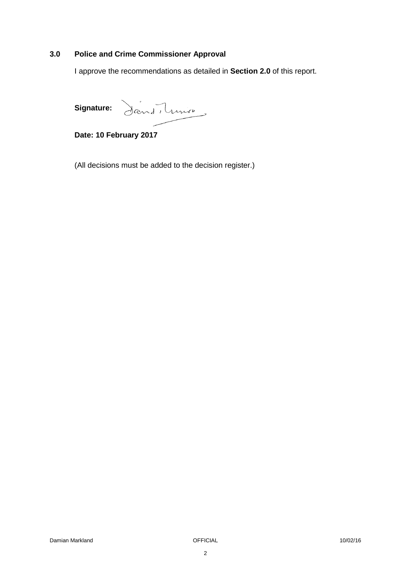# **3.0 Police and Crime Commissioner Approval**

I approve the recommendations as detailed in **Section 2.0** of this report.

Signature: dans lunion

**Date: 10 February 2017**

(All decisions must be added to the decision register.)